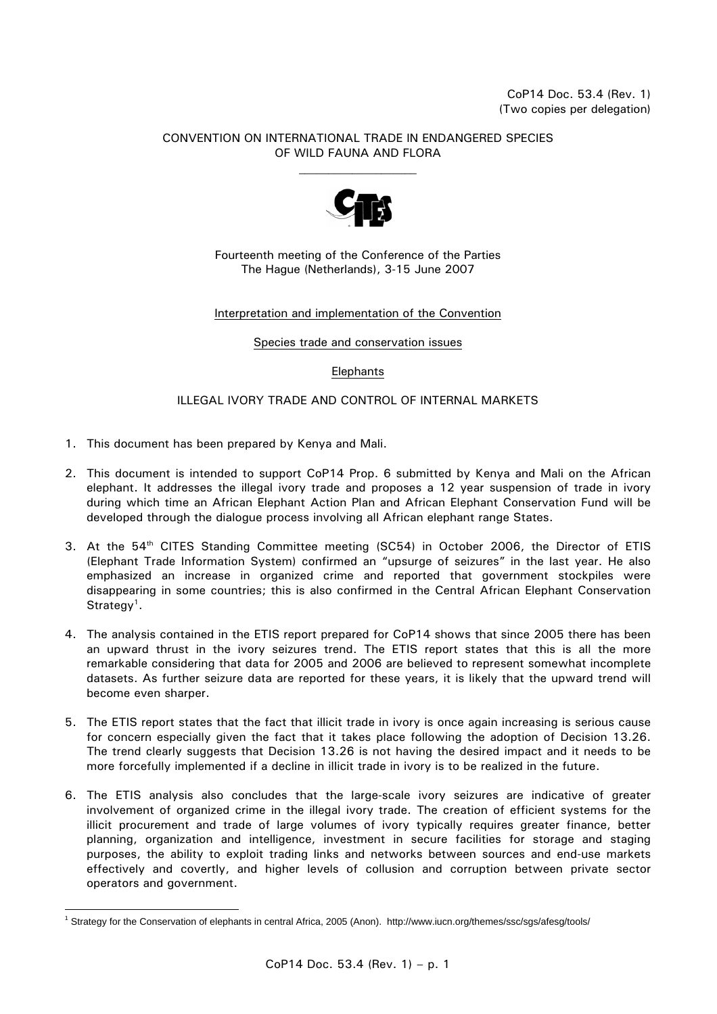## CONVENTION ON INTERNATIONAL TRADE IN ENDANGERED SPECIES OF WILD FAUNA AND FLORA  $\mathcal{L}_\text{max}$



Fourteenth meeting of the Conference of the Parties The Hague (Netherlands), 3-15 June 2007

## Interpretation and implementation of the Convention

## Species trade and conservation issues

## Elephants

# ILLEGAL IVORY TRADE AND CONTROL OF INTERNAL MARKETS

- 1. This document has been prepared by Kenya and Mali.
- 2. This document is intended to support CoP14 Prop. 6 submitted by Kenya and Mali on the African elephant. It addresses the illegal ivory trade and proposes a 12 year suspension of trade in ivory during which time an African Elephant Action Plan and African Elephant Conservation Fund will be developed through the dialogue process involving all African elephant range States.
- 3. At the 54<sup>th</sup> CITES Standing Committee meeting (SC54) in October 2006, the Director of ETIS (Elephant Trade Information System) confirmed an "upsurge of seizures" in the last year. He also emphasized an increase in organized crime and reported that government stockpiles were disappearing in some countries; this is also confirmed in the Central African Elephant Conservation Strategy<sup>1</sup>.
- 4. The analysis contained in the ETIS report prepared for CoP14 shows that since 2005 there has been an upward thrust in the ivory seizures trend. The ETIS report states that this is all the more remarkable considering that data for 2005 and 2006 are believed to represent somewhat incomplete datasets. As further seizure data are reported for these years, it is likely that the upward trend will become even sharper.
- 5. The ETIS report states that the fact that illicit trade in ivory is once again increasing is serious cause for concern especially given the fact that it takes place following the adoption of Decision 13.26. The trend clearly suggests that Decision 13.26 is not having the desired impact and it needs to be more forcefully implemented if a decline in illicit trade in ivory is to be realized in the future.
- 6. The ETIS analysis also concludes that the large-scale ivory seizures are indicative of greater involvement of organized crime in the illegal ivory trade. The creation of efficient systems for the illicit procurement and trade of large volumes of ivory typically requires greater finance, better planning, organization and intelligence, investment in secure facilities for storage and staging purposes, the ability to exploit trading links and networks between sources and end-use markets effectively and covertly, and higher levels of collusion and corruption between private sector operators and government.

 $\overline{a}$ 1 Strategy for the Conservation of elephants in central Africa, 2005 (Anon). http://www.iucn.org/themes/ssc/sgs/afesg/tools/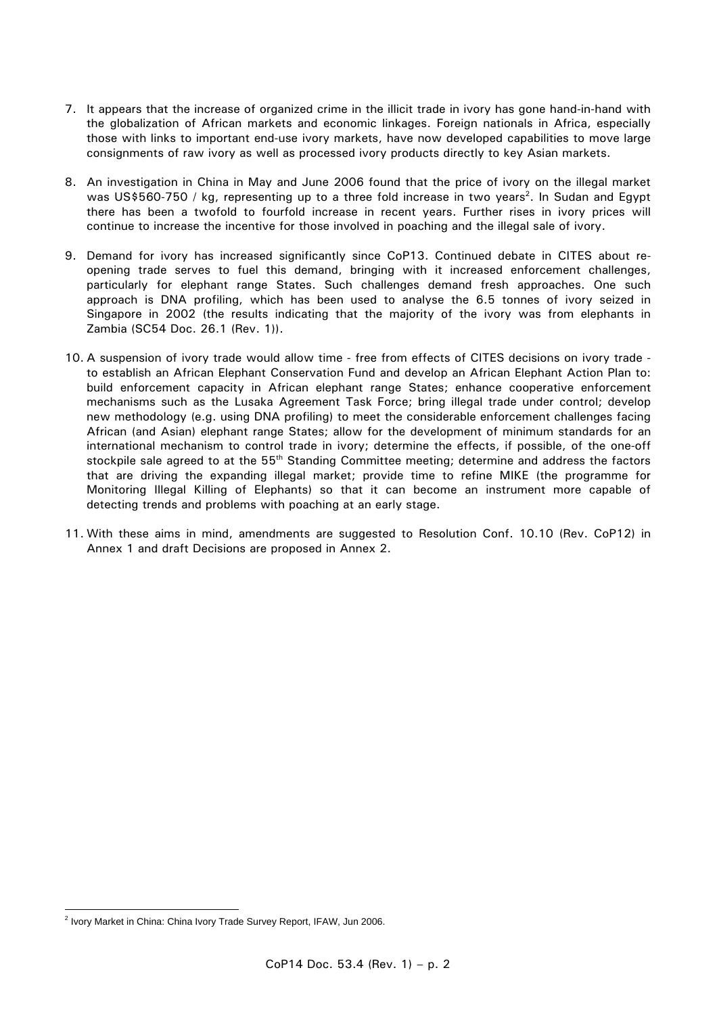- 7. It appears that the increase of organized crime in the illicit trade in ivory has gone hand-in-hand with the globalization of African markets and economic linkages. Foreign nationals in Africa, especially those with links to important end-use ivory markets, have now developed capabilities to move large consignments of raw ivory as well as processed ivory products directly to key Asian markets.
- 8. An investigation in China in May and June 2006 found that the price of ivory on the illegal market was US\$560-750 / kg, representing up to a three fold increase in two years<sup>2</sup>. In Sudan and Egypt there has been a twofold to fourfold increase in recent years. Further rises in ivory prices will continue to increase the incentive for those involved in poaching and the illegal sale of ivory.
- 9. Demand for ivory has increased significantly since CoP13. Continued debate in CITES about reopening trade serves to fuel this demand, bringing with it increased enforcement challenges, particularly for elephant range States. Such challenges demand fresh approaches. One such approach is DNA profiling, which has been used to analyse the 6.5 tonnes of ivory seized in Singapore in 2002 (the results indicating that the majority of the ivory was from elephants in Zambia (SC54 Doc. 26.1 (Rev. 1)).
- 10. A suspension of ivory trade would allow time free from effects of CITES decisions on ivory trade to establish an African Elephant Conservation Fund and develop an African Elephant Action Plan to: build enforcement capacity in African elephant range States; enhance cooperative enforcement mechanisms such as the Lusaka Agreement Task Force; bring illegal trade under control; develop new methodology (e.g. using DNA profiling) to meet the considerable enforcement challenges facing African (and Asian) elephant range States; allow for the development of minimum standards for an international mechanism to control trade in ivory; determine the effects, if possible, of the one-off stockpile sale agreed to at the 55<sup>th</sup> Standing Committee meeting; determine and address the factors that are driving the expanding illegal market; provide time to refine MIKE (the programme for Monitoring Illegal Killing of Elephants) so that it can become an instrument more capable of detecting trends and problems with poaching at an early stage.
- 11. With these aims in mind, amendments are suggested to Resolution Conf. 10.10 (Rev. CoP12) in Annex 1 and draft Decisions are proposed in Annex 2.

 2 Ivory Market in China: China Ivory Trade Survey Report, IFAW, Jun 2006.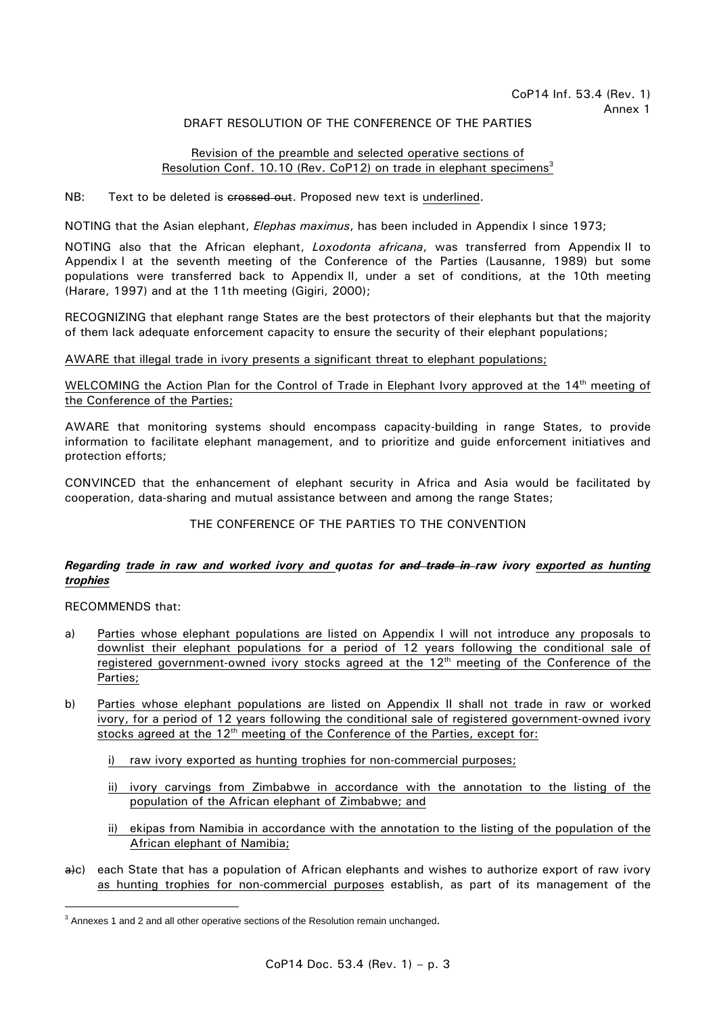#### DRAFT RESOLUTION OF THE CONFERENCE OF THE PARTIES

## Revision of the preamble and selected operative sections of Resolution Conf. 10.10 (Rev. CoP12) on trade in elephant specimens<sup>3</sup>

NB: Text to be deleted is crossed out. Proposed new text is underlined.

NOTING that the Asian elephant, *Elephas maximus*, has been included in Appendix I since 1973;

NOTING also that the African elephant, *Loxodonta africana*, was transferred from Appendix II to Appendix I at the seventh meeting of the Conference of the Parties (Lausanne, 1989) but some populations were transferred back to Appendix II, under a set of conditions, at the 10th meeting (Harare, 1997) and at the 11th meeting (Gigiri, 2000);

RECOGNIZING that elephant range States are the best protectors of their elephants but that the majority of them lack adequate enforcement capacity to ensure the security of their elephant populations;

#### AWARE that illegal trade in ivory presents a significant threat to elephant populations;

WELCOMING the Action Plan for the Control of Trade in Elephant Ivory approved at the 14<sup>th</sup> meeting of the Conference of the Parties;

AWARE that monitoring systems should encompass capacity-building in range States, to provide information to facilitate elephant management, and to prioritize and guide enforcement initiatives and protection efforts;

CONVINCED that the enhancement of elephant security in Africa and Asia would be facilitated by cooperation, data-sharing and mutual assistance between and among the range States;

## THE CONFERENCE OF THE PARTIES TO THE CONVENTION

## *Regarding trade in raw and worked ivory and quotas for and trade in raw ivory exported as hunting trophies*

RECOMMENDS that:

 $\overline{a}$ 

- a) Parties whose elephant populations are listed on Appendix I will not introduce any proposals to downlist their elephant populations for a period of 12 years following the conditional sale of registered government-owned ivory stocks agreed at the 12<sup>th</sup> meeting of the Conference of the Parties;
- b) Parties whose elephant populations are listed on Appendix II shall not trade in raw or worked ivory, for a period of 12 years following the conditional sale of registered government-owned ivory stocks agreed at the  $12<sup>th</sup>$  meeting of the Conference of the Parties, except for:
	- i) raw ivory exported as hunting trophies for non-commercial purposes;
	- ii) ivory carvings from Zimbabwe in accordance with the annotation to the listing of the population of the African elephant of Zimbabwe; and
	- ii) ekipas from Namibia in accordance with the annotation to the listing of the population of the African elephant of Namibia;
- a)c) each State that has a population of African elephants and wishes to authorize export of raw ivory as hunting trophies for non-commercial purposes establish, as part of its management of the

 $3$  Annexes 1 and 2 and all other operative sections of the Resolution remain unchanged.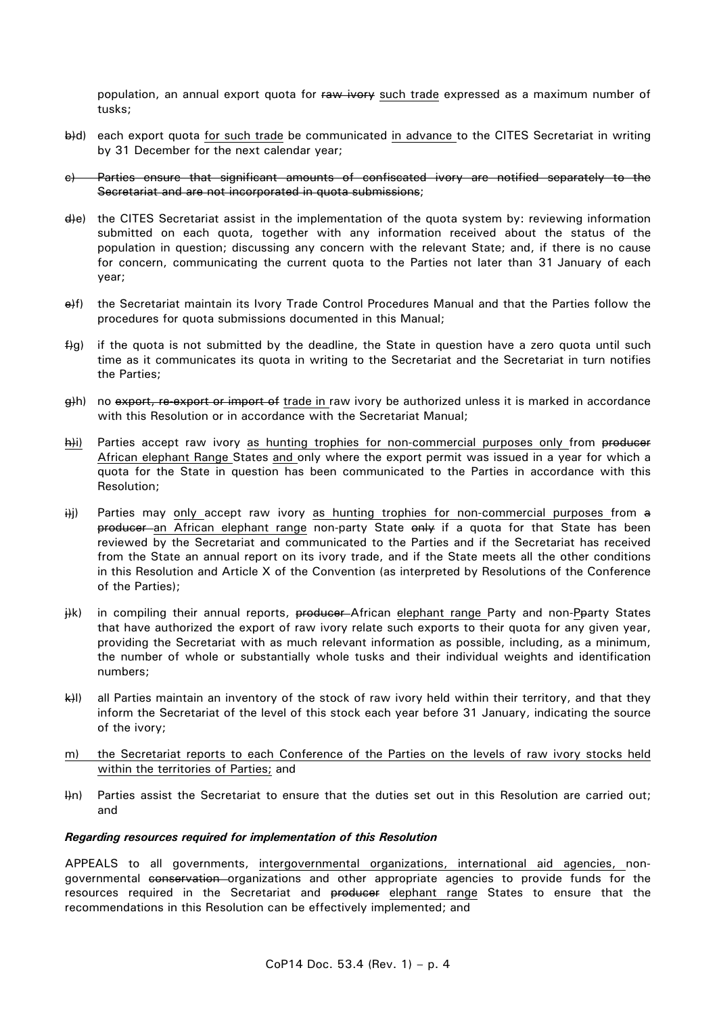population, an annual export quota for raw ivory such trade expressed as a maximum number of tusks;

- b)d) each export quota for such trade be communicated in advance to the CITES Secretariat in writing by 31 December for the next calendar year;
- c) Parties ensure that significant amounts of confiscated ivory are notified separately to the Secretariat and are not incorporated in quota submissions;
- d)e) the CITES Secretariat assist in the implementation of the quota system by: reviewing information submitted on each quota, together with any information received about the status of the population in question; discussing any concern with the relevant State; and, if there is no cause for concern, communicating the current quota to the Parties not later than 31 January of each year;
- e)f) the Secretariat maintain its Ivory Trade Control Procedures Manual and that the Parties follow the procedures for quota submissions documented in this Manual;
- $\frac{4}{9}$  if the quota is not submitted by the deadline, the State in question have a zero quota until such time as it communicates its quota in writing to the Secretariat and the Secretariat in turn notifies the Parties;
- g)h) no export, re-export or import of trade in raw ivory be authorized unless it is marked in accordance with this Resolution or in accordance with the Secretariat Manual;
- hi) Parties accept raw ivory as hunting trophies for non-commercial purposes only from producer African elephant Range States and only where the export permit was issued in a year for which a quota for the State in question has been communicated to the Parties in accordance with this Resolution;
- $\ddot{h}$ ) Parties may only accept raw ivory as hunting trophies for non-commercial purposes from a producer an African elephant range non-party State only if a quota for that State has been reviewed by the Secretariat and communicated to the Parties and if the Secretariat has received from the State an annual report on its ivory trade, and if the State meets all the other conditions in this Resolution and Article X of the Convention (as interpreted by Resolutions of the Conference of the Parties);
- $\ddot{\theta}$ k) in compiling their annual reports, producer-African elephant range Party and non-Pparty States that have authorized the export of raw ivory relate such exports to their quota for any given year, providing the Secretariat with as much relevant information as possible, including, as a minimum, the number of whole or substantially whole tusks and their individual weights and identification numbers;
- k)l) all Parties maintain an inventory of the stock of raw ivory held within their territory, and that they inform the Secretariat of the level of this stock each year before 31 January, indicating the source of the ivory;
- m) the Secretariat reports to each Conference of the Parties on the levels of raw ivory stocks held within the territories of Parties; and
- l)n) Parties assist the Secretariat to ensure that the duties set out in this Resolution are carried out; and

#### *Regarding resources required for implementation of this Resolution*

APPEALS to all governments, intergovernmental organizations, international aid agencies, nongovernmental conservation organizations and other appropriate agencies to provide funds for the resources required in the Secretariat and producer elephant range States to ensure that the recommendations in this Resolution can be effectively implemented; and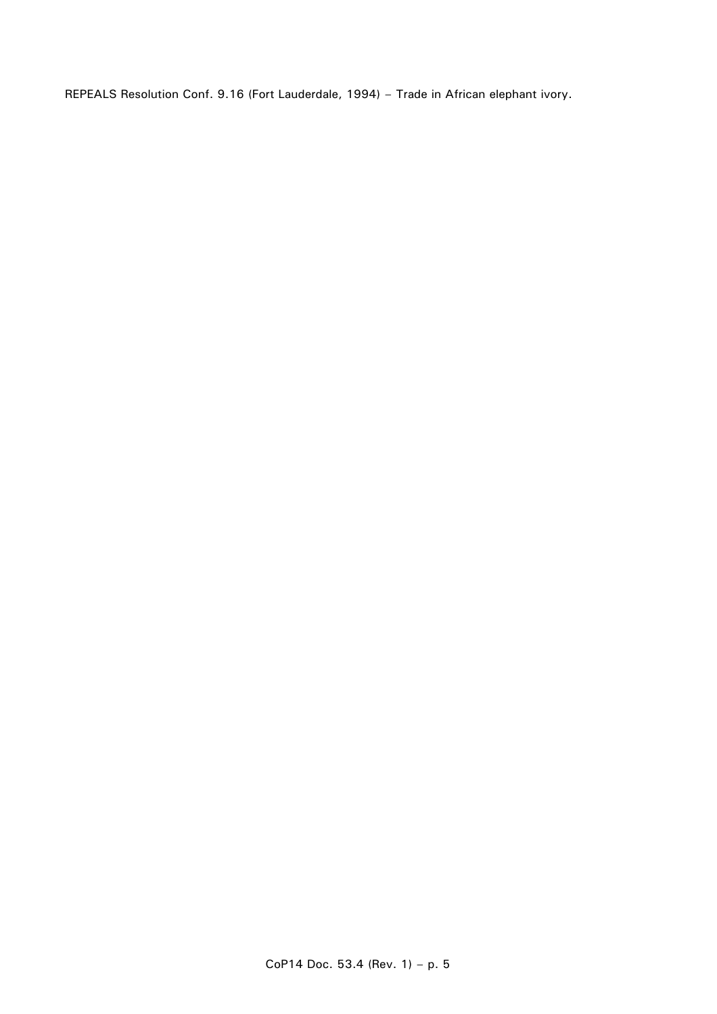REPEALS Resolution Conf. 9.16 (Fort Lauderdale, 1994) – Trade in African elephant ivory.